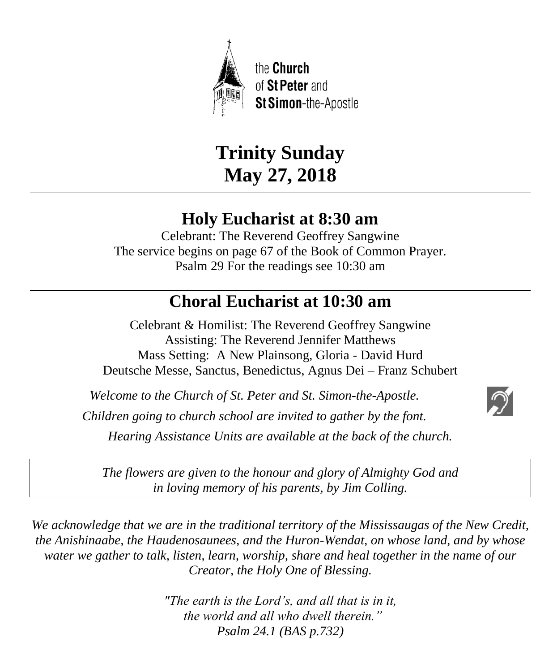

# **Trinity Sunday May 27, 2018**

## **Holy Eucharist at 8:30 am**

Celebrant: The Reverend Geoffrey Sangwine The service begins on page 67 of the Book of Common Prayer. Psalm 29 For the readings see 10:30 am

## **Choral Eucharist at 10:30 am**

Celebrant & Homilist: The Reverend Geoffrey Sangwine Assisting: The Reverend Jennifer Matthews Mass Setting: A New Plainsong, Gloria - David Hurd Deutsche Messe, Sanctus, Benedictus, Agnus Dei – Franz Schubert

*Welcome to the Church of St. Peter and St. Simon-the-Apostle. Children going to church school are invited to gather by the font.*

*Hearing Assistance Units are available at the back of the church.*

*The flowers are given to the honour and glory of Almighty God and in loving memory of his parents, by Jim Colling.*

*We acknowledge that we are in the traditional territory of the Mississaugas of the New Credit, the Anishinaabe, the Haudenosaunees, and the Huron-Wendat, on whose land, and by whose water we gather to talk, listen, learn, worship, share and heal together in the name of our Creator, the Holy One of Blessing.*

> *"The earth is the Lord's, and all that is in it, the world and all who dwell therein." Psalm 24.1 (BAS p.732)*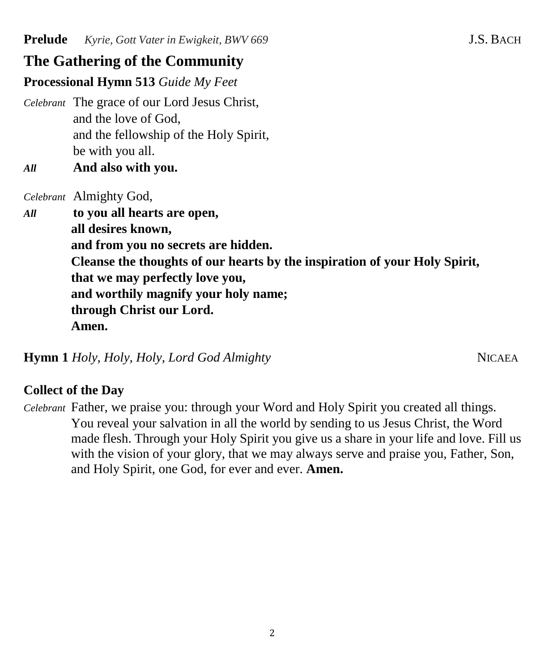#### **The Gathering of the Community**

#### **Processional Hymn 513** *Guide My Feet*

*Celebrant* The grace of our Lord Jesus Christ, and the love of God, and the fellowship of the Holy Spirit, be with you all.

*All* **And also with you.**

*Celebrant* Almighty God,

*All* **to you all hearts are open, all desires known, and from you no secrets are hidden. Cleanse the thoughts of our hearts by the inspiration of your Holy Spirit, that we may perfectly love you, and worthily magnify your holy name; through Christ our Lord. Amen.**

**Hymn 1** *Holy, Holy, Holy, Lord God Almighty* NICAEA

#### **Collect of the Day**

*Celebrant* Father, we praise you: through your Word and Holy Spirit you created all things. You reveal your salvation in all the world by sending to us Jesus Christ, the Word made flesh. Through your Holy Spirit you give us a share in your life and love. Fill us with the vision of your glory, that we may always serve and praise you, Father, Son, and Holy Spirit, one God, for ever and ever. **Amen.**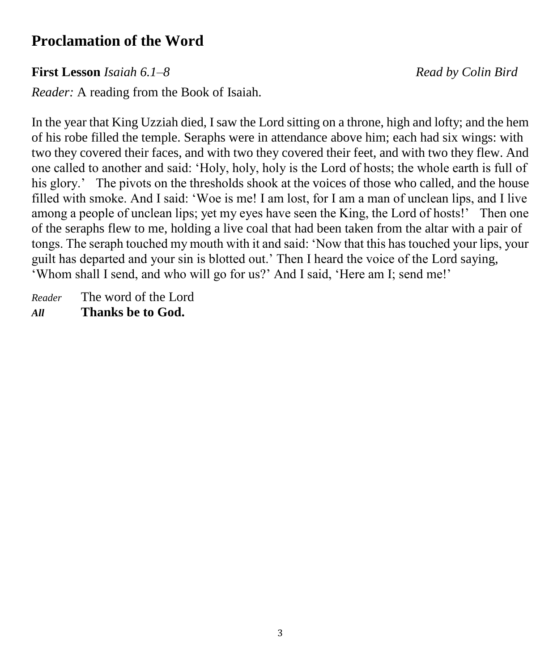#### **Proclamation of the Word**

#### **First Lesson** *Isaiah 6.1–8 Read by Colin Bird*

*Reader:* A reading from the Book of Isaiah.

In the year that King Uzziah died, I saw the Lord sitting on a throne, high and lofty; and the hem of his robe filled the temple. Seraphs were in attendance above him; each had six wings: with two they covered their faces, and with two they covered their feet, and with two they flew. And one called to another and said: 'Holy, holy, holy is the Lord of hosts; the whole earth is full of his glory.' The pivots on the thresholds shook at the voices of those who called, and the house filled with smoke. And I said: 'Woe is me! I am lost, for I am a man of unclean lips, and I live among a people of unclean lips; yet my eyes have seen the King, the Lord of hosts!' Then one of the seraphs flew to me, holding a live coal that had been taken from the altar with a pair of tongs. The seraph touched my mouth with it and said: 'Now that this has touched your lips, your guilt has departed and your sin is blotted out.' Then I heard the voice of the Lord saying, 'Whom shall I send, and who will go for us?' And I said, 'Here am I; send me!'

*Reader* The word of the Lord *All* **Thanks be to God.**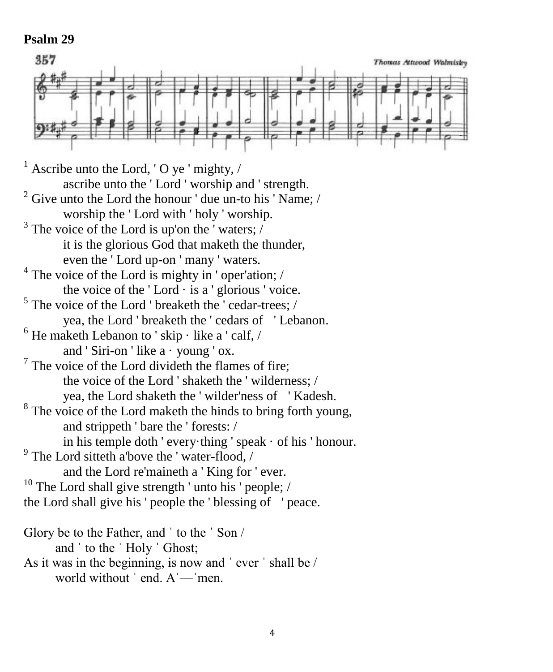**Psalm 29**



 $<sup>1</sup>$  Ascribe unto the Lord, 'O ye ' mighty, /</sup> ascribe unto the ' Lord ' worship and ' strength.  $2^2$  Give unto the Lord the honour ' due un-to his ' Name; / worship the ' Lord with ' holy ' worship. <sup>3</sup> The voice of the Lord is up'on the 'waters; / it is the glorious God that maketh the thunder, even the ' Lord up-on ' many ' waters. <sup>4</sup> The voice of the Lord is mighty in 'oper'ation; / the voice of the 'Lord  $\cdot$  is a ' glorious ' voice. <sup>5</sup> The voice of the Lord ' breaketh the ' cedar-trees; / yea, the Lord ' breaketh the ' cedars of ' Lebanon.  $6$  He maketh Lebanon to 'skip  $\cdot$  like a 'calf, / and 'Siri-on ' like  $a \cdot$  young ' ox. <sup>7</sup> The voice of the Lord divideth the flames of fire; the voice of the Lord ' shaketh the ' wilderness; / yea, the Lord shaketh the ' wilder'ness of ' Kadesh.  $8<sup>8</sup>$  The voice of the Lord maketh the hinds to bring forth young, and strippeth ' bare the ' forests: / in his temple doth ' every  $\cdot$  thing ' speak  $\cdot$  of his ' honour. <sup>9</sup> The Lord sitteth a'bove the ' water-flood, / and the Lord re'maineth a ' King for ' ever.  $10$  The Lord shall give strength ' unto his ' people; / the Lord shall give his ' people the ' blessing of ' peace. Glory be to the Father, and ˈ to the ˈ Son /

and ˈ to the ˈ Holy ˈ Ghost;

As it was in the beginning, is now and ˈ ever ˈ shall be / world without ' end. A'—'men.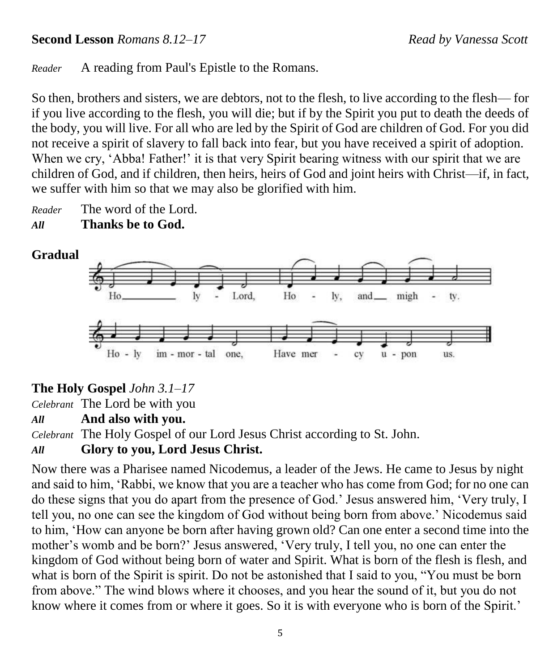#### **Second Lesson** *Romans 8.12–17 Read by Vanessa Scott*

*Reader* A reading from Paul's Epistle to the Romans.

So then, brothers and sisters, we are debtors, not to the flesh, to live according to the flesh— for if you live according to the flesh, you will die; but if by the Spirit you put to death the deeds of the body, you will live. For all who are led by the Spirit of God are children of God. For you did not receive a spirit of slavery to fall back into fear, but you have received a spirit of adoption. When we cry, 'Abba! Father!' it is that very Spirit bearing witness with our spirit that we are children of God, and if children, then heirs, heirs of God and joint heirs with Christ—if, in fact, we suffer with him so that we may also be glorified with him.

*Reader* The word of the Lord. *All* **Thanks be to God.**



#### **The Holy Gospel** *John 3.1–17*

*Celebrant* The Lord be with you

*All* **And also with you.**

*Celebrant* The Holy Gospel of our Lord Jesus Christ according to St. John.

#### *All* **Glory to you, Lord Jesus Christ.**

Now there was a Pharisee named Nicodemus, a leader of the Jews. He came to Jesus by night and said to him, 'Rabbi, we know that you are a teacher who has come from God; for no one can do these signs that you do apart from the presence of God.' Jesus answered him, 'Very truly, I tell you, no one can see the kingdom of God without being born from above.' Nicodemus said to him, 'How can anyone be born after having grown old? Can one enter a second time into the mother's womb and be born?' Jesus answered, 'Very truly, I tell you, no one can enter the kingdom of God without being born of water and Spirit. What is born of the flesh is flesh, and what is born of the Spirit is spirit. Do not be astonished that I said to you, "You must be born from above." The wind blows where it chooses, and you hear the sound of it, but you do not know where it comes from or where it goes. So it is with everyone who is born of the Spirit.'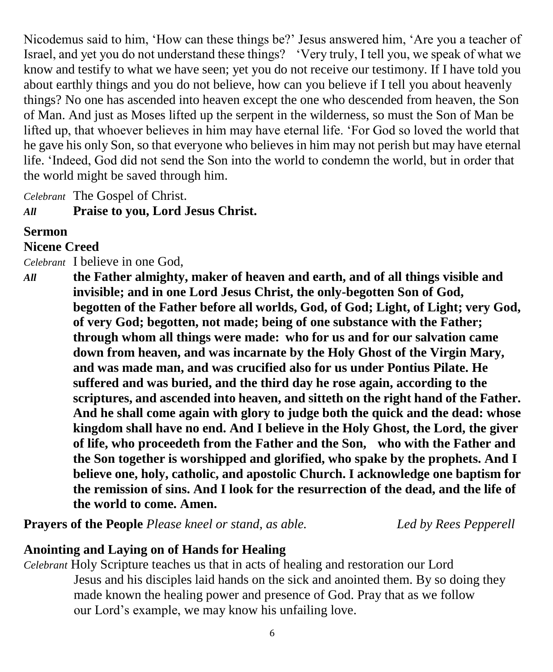Nicodemus said to him, 'How can these things be?' Jesus answered him, 'Are you a teacher of Israel, and yet you do not understand these things? 'Very truly, I tell you, we speak of what we know and testify to what we have seen; yet you do not receive our testimony. If I have told you about earthly things and you do not believe, how can you believe if I tell you about heavenly things? No one has ascended into heaven except the one who descended from heaven, the Son of Man. And just as Moses lifted up the serpent in the wilderness, so must the Son of Man be lifted up, that whoever believes in him may have eternal life. 'For God so loved the world that he gave his only Son, so that everyone who believes in him may not perish but may have eternal life. 'Indeed, God did not send the Son into the world to condemn the world, but in order that the world might be saved through him.

*Celebrant* The Gospel of Christ.

#### *All* **Praise to you, Lord Jesus Christ.**

#### **Sermon**

#### **Nicene Creed**

*Celebrant* I believe in one God,

*All* **the Father almighty, maker of heaven and earth, and of all things visible and invisible; and in one Lord Jesus Christ, the only-begotten Son of God, begotten of the Father before all worlds, God, of God; Light, of Light; very God, of very God; begotten, not made; being of one substance with the Father; through whom all things were made: who for us and for our salvation came down from heaven, and was incarnate by the Holy Ghost of the Virgin Mary, and was made man, and was crucified also for us under Pontius Pilate. He suffered and was buried, and the third day he rose again, according to the scriptures, and ascended into heaven, and sitteth on the right hand of the Father. And he shall come again with glory to judge both the quick and the dead: whose kingdom shall have no end. And I believe in the Holy Ghost, the Lord, the giver of life, who proceedeth from the Father and the Son, who with the Father and the Son together is worshipped and glorified, who spake by the prophets. And I believe one, holy, catholic, and apostolic Church. I acknowledge one baptism for the remission of sins. And I look for the resurrection of the dead, and the life of the world to come. Amen.**

**Prayers of the People** *Please kneel or stand, as able. Led by Rees Pepperell*

#### **Anointing and Laying on of Hands for Healing**

*Celebrant* Holy Scripture teaches us that in acts of healing and restoration our Lord Jesus and his disciples laid hands on the sick and anointed them. By so doing they made known the healing power and presence of God. Pray that as we follow our Lord's example, we may know his unfailing love.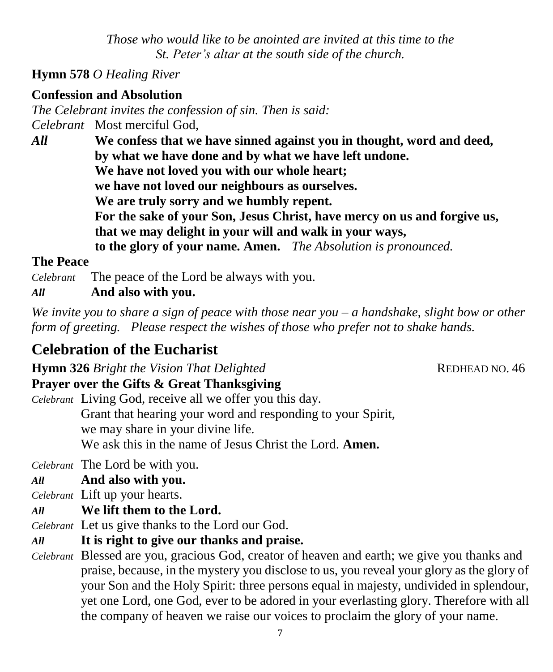*Those who would like to be anointed are invited at this time to the St. Peter's altar at the south side of the church.*

#### **Hymn 578** *O Healing River*

#### **Confession and Absolution**

*The Celebrant invites the confession of sin. Then is said: Celebrant* Most merciful God, *All* **We confess that we have sinned against you in thought, word and deed,**

**by what we have done and by what we have left undone. We have not loved you with our whole heart; we have not loved our neighbours as ourselves. We are truly sorry and we humbly repent. For the sake of your Son, Jesus Christ, have mercy on us and forgive us, that we may delight in your will and walk in your ways, to the glory of your name. Amen.** *The Absolution is pronounced.*

#### **The Peace**

*Celebrant* The peace of the Lord be always with you.

*All* **And also with you.**

*We invite you to share a sign of peace with those near you – a handshake, slight bow or other form of greeting. Please respect the wishes of those who prefer not to shake hands.*

### **Celebration of the Eucharist**

**Hymn 326** *Bright the Vision That Delighted* **REDHEAD NO. 46** 

## **Prayer over the Gifts & Great Thanksgiving**

*Celebrant* Living God, receive all we offer you this day. Grant that hearing your word and responding to your Spirit, we may share in your divine life. We ask this in the name of Jesus Christ the Lord. **Amen.**

*Celebrant* The Lord be with you.

*All* **And also with you.**

*Celebrant* Lift up your hearts.

*All* **We lift them to the Lord.**

*Celebrant* Let us give thanks to the Lord our God.

- *All* **It is right to give our thanks and praise.**
- *Celebrant* Blessed are you, gracious God, creator of heaven and earth; we give you thanks and praise, because, in the mystery you disclose to us, you reveal your glory as the glory of your Son and the Holy Spirit: three persons equal in majesty, undivided in splendour, yet one Lord, one God, ever to be adored in your everlasting glory. Therefore with all the company of heaven we raise our voices to proclaim the glory of your name.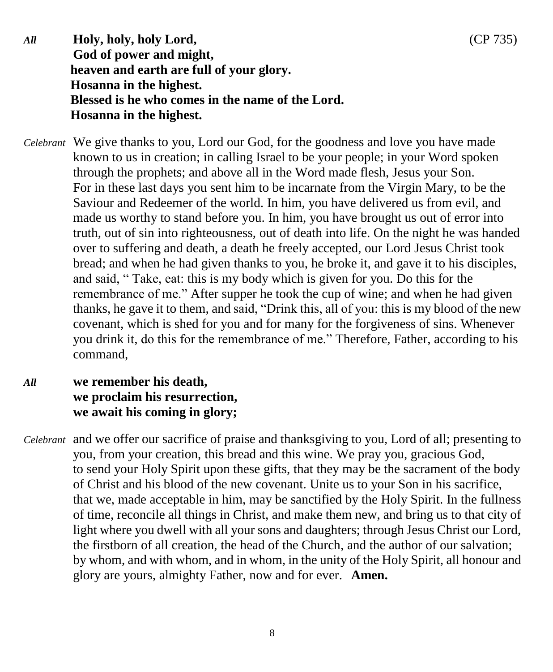*All* **Holy, holy, holy Lord,** (CP 735) **God of power and might, heaven and earth are full of your glory. Hosanna in the highest. Blessed is he who comes in the name of the Lord. Hosanna in the highest.**

*Celebrant* We give thanks to you, Lord our God, for the goodness and love you have made known to us in creation; in calling Israel to be your people; in your Word spoken through the prophets; and above all in the Word made flesh, Jesus your Son. For in these last days you sent him to be incarnate from the Virgin Mary, to be the Saviour and Redeemer of the world. In him, you have delivered us from evil, and made us worthy to stand before you. In him, you have brought us out of error into truth, out of sin into righteousness, out of death into life. On the night he was handed over to suffering and death, a death he freely accepted, our Lord Jesus Christ took bread; and when he had given thanks to you, he broke it, and gave it to his disciples, and said, " Take, eat: this is my body which is given for you. Do this for the remembrance of me." After supper he took the cup of wine; and when he had given thanks, he gave it to them, and said, "Drink this, all of you: this is my blood of the new covenant, which is shed for you and for many for the forgiveness of sins. Whenever you drink it, do this for the remembrance of me." Therefore, Father, according to his command,

#### *All* **we remember his death, we proclaim his resurrection, we await his coming in glory;**

*Celebrant* and we offer our sacrifice of praise and thanksgiving to you, Lord of all; presenting to you, from your creation, this bread and this wine. We pray you, gracious God, to send your Holy Spirit upon these gifts, that they may be the sacrament of the body of Christ and his blood of the new covenant. Unite us to your Son in his sacrifice, that we, made acceptable in him, may be sanctified by the Holy Spirit. In the fullness of time, reconcile all things in Christ, and make them new, and bring us to that city of light where you dwell with all your sons and daughters; through Jesus Christ our Lord, the firstborn of all creation, the head of the Church, and the author of our salvation; by whom, and with whom, and in whom, in the unity of the Holy Spirit, all honour and glory are yours, almighty Father, now and for ever.**Amen.**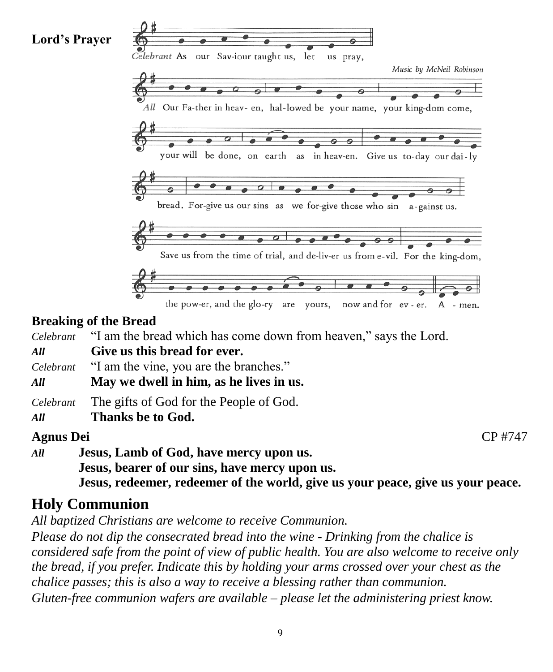#### **Lord's Prayer**



#### **Breaking of the Bread**

*Celebrant* "I am the bread which has come down from heaven," says the Lord.

*All* **Give us this bread for ever.**

*Celebrant* "I am the vine, you are the branches."

- *All* **May we dwell in him, as he lives in us.**
- *Celebrant* The gifts of God for the People of God.
- *All* **Thanks be to God.**

#### **Agnus Dei** CP #747

*All* **Jesus, Lamb of God, have mercy upon us. Jesus, bearer of our sins, have mercy upon us. Jesus, redeemer, redeemer of the world, give us your peace, give us your peace.**

#### **Holy Communion**

*All baptized Christians are welcome to receive Communion.*

*Please do not dip the consecrated bread into the wine - Drinking from the chalice is considered safe from the point of view of public health. You are also welcome to receive only the bread, if you prefer. Indicate this by holding your arms crossed over your chest as the chalice passes; this is also a way to receive a blessing rather than communion. Gluten-free communion wafers are available – please let the administering priest know.*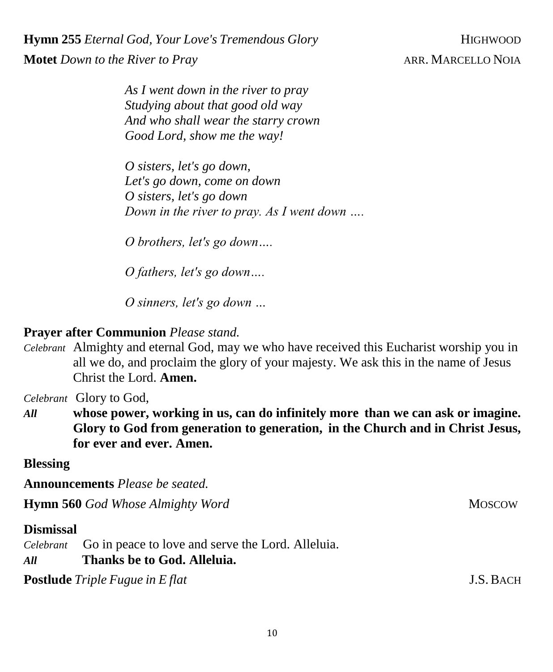**Hymn 255** *Eternal God, Your Love's Tremendous Glory* **HIGHWOOD Motet** *Down to the River to Pray* **ARR. MARCELLO NOIA ARR. MARCELLO NOIA** 

*As I went down in the river to pray Studying about that good old way And who shall wear the starry crown Good Lord, show me the way!* 

*O sisters, let's go down, Let's go down, come on down O sisters, let's go down Down in the river to pray. As I went down ….*

*O brothers, let's go down….*

*O fathers, let's go down….*

*O sinners, let's go down …*

#### **Prayer after Communion** *Please stand.*

*Celebrant* Almighty and eternal God, may we who have received this Eucharist worship you in all we do, and proclaim the glory of your majesty. We ask this in the name of Jesus Christ the Lord. **Amen.**

*Celebrant* Glory to God,

*All* **whose power, working in us, can do infinitely more than we can ask or imagine. Glory to God from generation to generation, in the Church and in Christ Jesus, for ever and ever. Amen.**

#### **Blessing**

**Announcements** *Please be seated.*

**Hymn 560** *God Whose Almighty Word* **MOSCOW** 

#### **Dismissal**

*Celebrant* Go in peace to love and serve the Lord. Alleluia. *All* **Thanks be to God. Alleluia.**

**Postlude** *Triple Fugue in E flat* **J.S.BACH**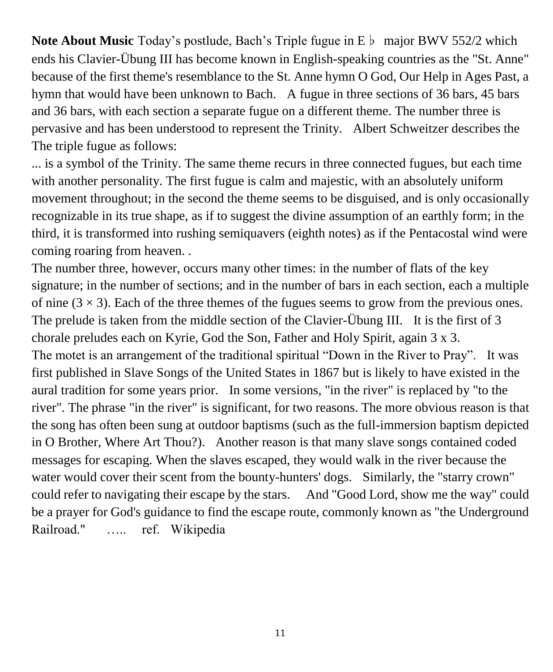**Note About Music** Today's postlude, Bach's Triple fugue in E♭ major BWV 552/2 which ends his Clavier-Übung III has become known in English-speaking countries as the "St. Anne" because of the first theme's resemblance to the St. Anne hymn O God, Our Help in Ages Past, a hymn that would have been unknown to Bach. A fugue in three sections of 36 bars, 45 bars and 36 bars, with each section a separate fugue on a different theme. The number three is pervasive and has been understood to represent the Trinity. Albert Schweitzer describes the The triple fugue as follows:

... is a symbol of the Trinity. The same theme recurs in three connected fugues, but each time with another personality. The first fugue is calm and majestic, with an absolutely uniform movement throughout; in the second the theme seems to be disguised, and is only occasionally recognizable in its true shape, as if to suggest the divine assumption of an earthly form; in the third, it is transformed into rushing semiquavers (eighth notes) as if the Pentacostal wind were coming roaring from heaven. .

The number three, however, occurs many other times: in the number of flats of the key signature; in the number of sections; and in the number of bars in each section, each a multiple of nine  $(3 \times 3)$ . Each of the three themes of the fugues seems to grow from the previous ones. The prelude is taken from the middle section of the Clavier-Übung III. It is the first of 3 chorale preludes each on Kyrie, God the Son, Father and Holy Spirit, again 3 x 3. The motet is an arrangement of the traditional spiritual "Down in the River to Pray". It was first published in Slave Songs of the United States in 1867 but is likely to have existed in the aural tradition for some years prior. In some versions, "in the river" is replaced by "to the river". The phrase "in the river" is significant, for two reasons. The more obvious reason is that the song has often been sung at outdoor baptisms (such as the full-immersion baptism depicted in O Brother, Where Art Thou?). Another reason is that many slave songs contained coded messages for escaping. When the slaves escaped, they would walk in the river because the water would cover their scent from the bounty-hunters' dogs. Similarly, the "starry crown" could refer to navigating their escape by the stars. And "Good Lord, show me the way" could be a prayer for God's guidance to find the escape route, commonly known as "the Underground Railroad." ….. ref. Wikipedia